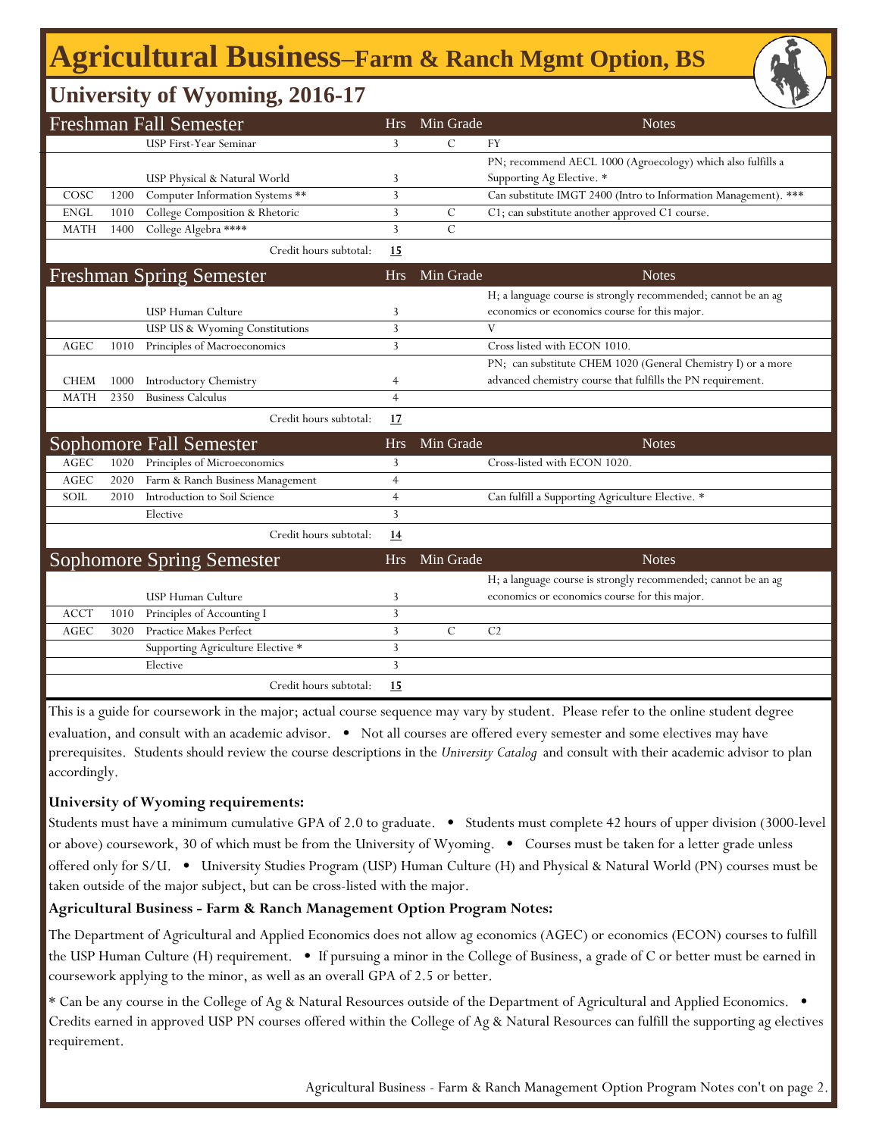# **Agricultural Business‒Farm & Ranch Mgmt Option, BS**

## **University of Wyoming, 2016-17**

|             |      | <b>Freshman Fall Semester</b>     | <b>Hrs</b>     | Min Grade     | <b>Notes</b>                                                    |
|-------------|------|-----------------------------------|----------------|---------------|-----------------------------------------------------------------|
|             |      | <b>USP First-Year Seminar</b>     | 3              | $\mathcal{C}$ | FY                                                              |
|             |      |                                   |                |               | PN; recommend AECL 1000 (Agroecology) which also fulfills a     |
|             |      | USP Physical & Natural World      | 3              |               | Supporting Ag Elective. *                                       |
| COSC        | 1200 | Computer Information Systems **   | 3              |               | Can substitute IMGT 2400 (Intro to Information Management). *** |
| <b>ENGL</b> | 1010 | College Composition & Rhetoric    | 3              | $\mathsf{C}$  | C1; can substitute another approved C1 course.                  |
| <b>MATH</b> | 1400 | College Algebra ****              | 3              | $\mathcal{C}$ |                                                                 |
|             |      | Credit hours subtotal:            | 15             |               |                                                                 |
|             |      | <b>Freshman Spring Semester</b>   | <b>Hrs</b>     | Min Grade     | <b>Notes</b>                                                    |
|             |      |                                   |                |               | H; a language course is strongly recommended; cannot be an ag   |
|             |      | USP Human Culture                 | 3              |               | economics or economics course for this major.                   |
|             |      | USP US & Wyoming Constitutions    | 3              |               | V                                                               |
| <b>AGEC</b> | 1010 | Principles of Macroeconomics      | 3              |               | Cross listed with ECON 1010.                                    |
|             |      |                                   |                |               | PN; can substitute CHEM 1020 (General Chemistry I) or a more    |
| <b>CHEM</b> | 1000 | <b>Introductory Chemistry</b>     | 4              |               | advanced chemistry course that fulfills the PN requirement.     |
| <b>MATH</b> | 2350 | <b>Business Calculus</b>          | $\overline{4}$ |               |                                                                 |
|             |      | Credit hours subtotal:            | <u>17</u>      |               |                                                                 |
|             |      | Sophomore Fall Semester           | <b>Hrs</b>     | Min Grade     | <b>Notes</b>                                                    |
| AGEC        | 1020 | Principles of Microeconomics      | 3              |               | Cross-listed with ECON 1020.                                    |
| AGEC        | 2020 | Farm & Ranch Business Management  | $\overline{4}$ |               |                                                                 |
| SOIL        | 2010 | Introduction to Soil Science      | $\overline{4}$ |               | Can fulfill a Supporting Agriculture Elective. *                |
|             |      | Elective                          | 3              |               |                                                                 |
|             |      | Credit hours subtotal:            | <u>14</u>      |               |                                                                 |
|             |      | <b>Sophomore Spring Semester</b>  | <b>Hrs</b>     | Min Grade     | <b>Notes</b>                                                    |
|             |      |                                   |                |               | H; a language course is strongly recommended; cannot be an ag   |
|             |      | USP Human Culture                 | 3              |               | economics or economics course for this major.                   |
| <b>ACCT</b> | 1010 | Principles of Accounting I        | 3              |               |                                                                 |
| AGEC        | 3020 | Practice Makes Perfect            | 3              | $\mathbf C$   | C <sub>2</sub>                                                  |
|             |      | Supporting Agriculture Elective * | 3              |               |                                                                 |
|             |      | Elective                          | 3              |               |                                                                 |
|             |      | Credit hours subtotal:            | 15             |               |                                                                 |

This is a guide for coursework in the major; actual course sequence may vary by student. Please refer to the online student degree evaluation, and consult with an academic advisor. • Not all courses are offered every semester and some electives may have prerequisites. Students should review the course descriptions in the *University Catalog* and consult with their academic advisor to plan accordingly.

#### **University of Wyoming requirements:**

Students must have a minimum cumulative GPA of 2.0 to graduate. • Students must complete 42 hours of upper division (3000-level or above) coursework, 30 of which must be from the University of Wyoming. • Courses must be taken for a letter grade unless offered only for S/U. • University Studies Program (USP) Human Culture (H) and Physical & Natural World (PN) courses must be taken outside of the major subject, but can be cross-listed with the major.

#### **Agricultural Business - Farm & Ranch Management Option Program Notes:**

The Department of Agricultural and Applied Economics does not allow ag economics (AGEC) or economics (ECON) courses to fulfill the USP Human Culture (H) requirement. • If pursuing a minor in the College of Business, a grade of C or better must be earned in coursework applying to the minor, as well as an overall GPA of 2.5 or better.

\* Can be any course in the College of Ag & Natural Resources outside of the Department of Agricultural and Applied Economics. • Credits earned in approved USP PN courses offered within the College of Ag & Natural Resources can fulfill the supporting ag electives requirement.